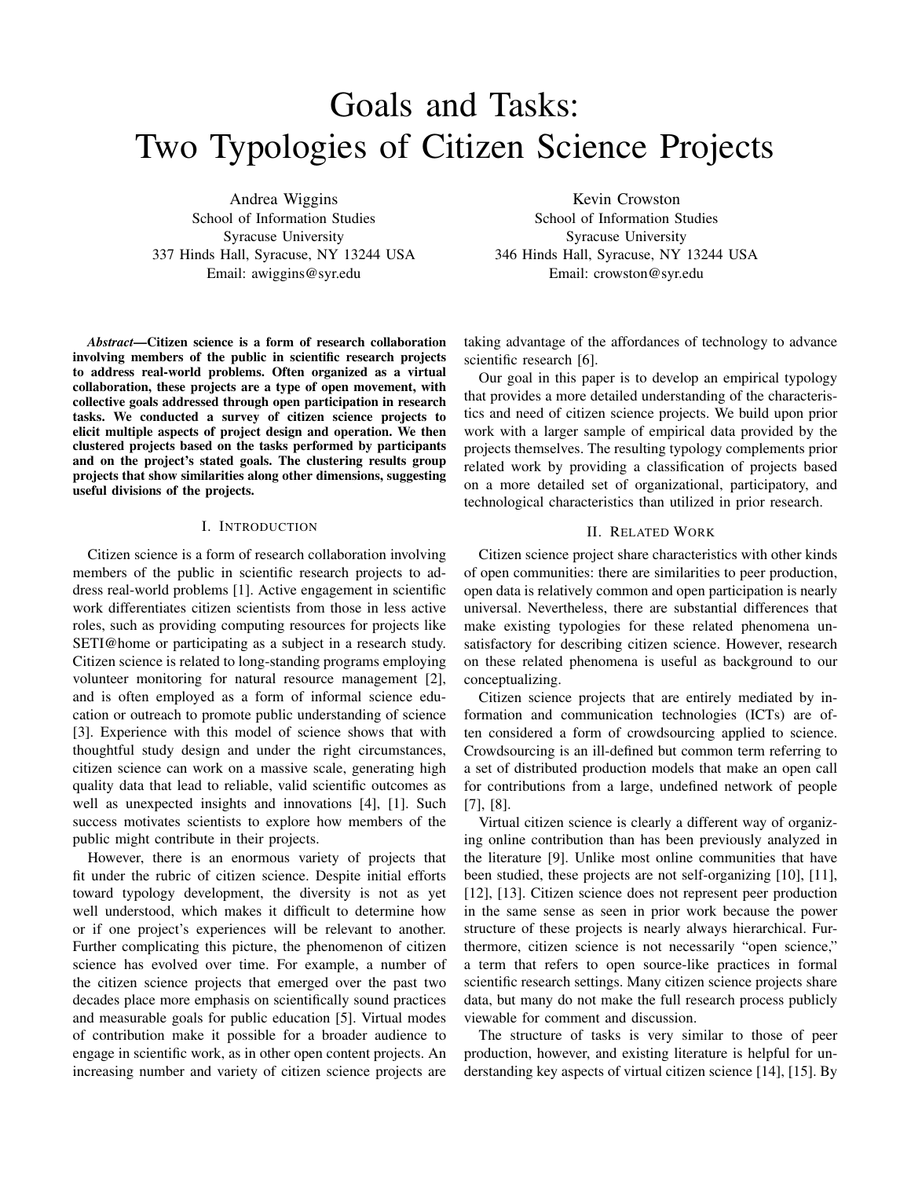# Goals and Tasks: Two Typologies of Citizen Science Projects

Andrea Wiggins School of Information Studies Syracuse University 337 Hinds Hall, Syracuse, NY 13244 USA Email: awiggins@syr.edu

*Abstract*—Citizen science is a form of research collaboration involving members of the public in scientific research projects to address real-world problems. Often organized as a virtual collaboration, these projects are a type of open movement, with collective goals addressed through open participation in research tasks. We conducted a survey of citizen science projects to elicit multiple aspects of project design and operation. We then clustered projects based on the tasks performed by participants and on the project's stated goals. The clustering results group projects that show similarities along other dimensions, suggesting useful divisions of the projects.

## I. INTRODUCTION

Citizen science is a form of research collaboration involving members of the public in scientific research projects to address real-world problems [1]. Active engagement in scientific work differentiates citizen scientists from those in less active roles, such as providing computing resources for projects like SETI@home or participating as a subject in a research study. Citizen science is related to long-standing programs employing volunteer monitoring for natural resource management [2], and is often employed as a form of informal science education or outreach to promote public understanding of science [3]. Experience with this model of science shows that with thoughtful study design and under the right circumstances, citizen science can work on a massive scale, generating high quality data that lead to reliable, valid scientific outcomes as well as unexpected insights and innovations [4], [1]. Such success motivates scientists to explore how members of the public might contribute in their projects.

However, there is an enormous variety of projects that fit under the rubric of citizen science. Despite initial efforts toward typology development, the diversity is not as yet well understood, which makes it difficult to determine how or if one project's experiences will be relevant to another. Further complicating this picture, the phenomenon of citizen science has evolved over time. For example, a number of the citizen science projects that emerged over the past two decades place more emphasis on scientifically sound practices and measurable goals for public education [5]. Virtual modes of contribution make it possible for a broader audience to engage in scientific work, as in other open content projects. An increasing number and variety of citizen science projects are

Kevin Crowston School of Information Studies Syracuse University 346 Hinds Hall, Syracuse, NY 13244 USA Email: crowston@syr.edu

taking advantage of the affordances of technology to advance scientific research [6].

Our goal in this paper is to develop an empirical typology that provides a more detailed understanding of the characteristics and need of citizen science projects. We build upon prior work with a larger sample of empirical data provided by the projects themselves. The resulting typology complements prior related work by providing a classification of projects based on a more detailed set of organizational, participatory, and technological characteristics than utilized in prior research.

#### II. RELATED WORK

Citizen science project share characteristics with other kinds of open communities: there are similarities to peer production, open data is relatively common and open participation is nearly universal. Nevertheless, there are substantial differences that make existing typologies for these related phenomena unsatisfactory for describing citizen science. However, research on these related phenomena is useful as background to our conceptualizing.

Citizen science projects that are entirely mediated by information and communication technologies (ICTs) are often considered a form of crowdsourcing applied to science. Crowdsourcing is an ill-defined but common term referring to a set of distributed production models that make an open call for contributions from a large, undefined network of people [7], [8].

Virtual citizen science is clearly a different way of organizing online contribution than has been previously analyzed in the literature [9]. Unlike most online communities that have been studied, these projects are not self-organizing [10], [11], [12], [13]. Citizen science does not represent peer production in the same sense as seen in prior work because the power structure of these projects is nearly always hierarchical. Furthermore, citizen science is not necessarily "open science," a term that refers to open source-like practices in formal scientific research settings. Many citizen science projects share data, but many do not make the full research process publicly viewable for comment and discussion.

The structure of tasks is very similar to those of peer production, however, and existing literature is helpful for understanding key aspects of virtual citizen science [14], [15]. By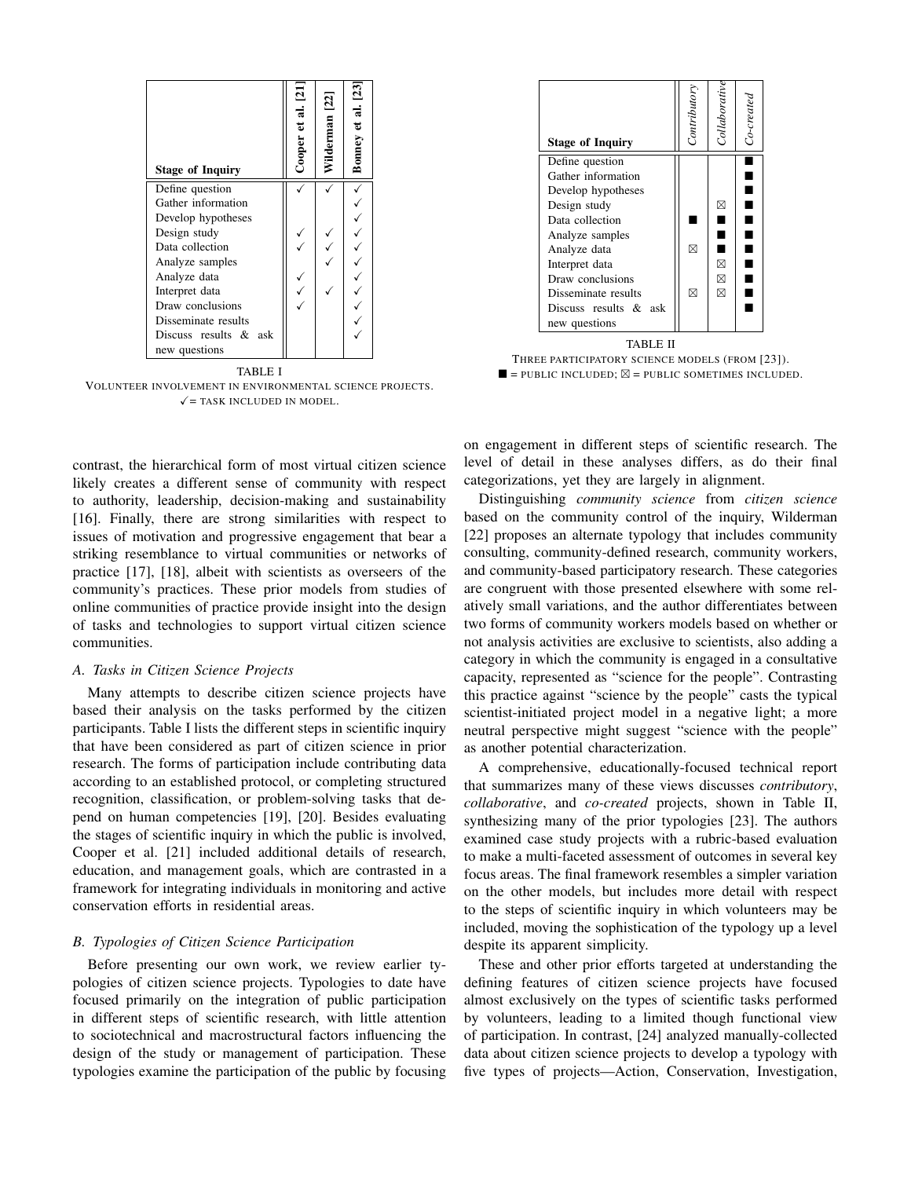| <b>Stage of Inquiry</b>     | $\hat{a}$<br>Cooper et al. | Vilderman [22] | Bonney et al. [23] |
|-----------------------------|----------------------------|----------------|--------------------|
| Define question             |                            |                |                    |
| Gather information          |                            |                |                    |
| Develop hypotheses          |                            |                |                    |
| Design study                |                            |                |                    |
| Data collection             |                            |                |                    |
| Analyze samples             |                            |                |                    |
| Analyze data                |                            |                |                    |
| Interpret data              |                            |                |                    |
| Draw conclusions            |                            |                |                    |
| Disseminate results         |                            |                |                    |
| Discuss results $\&$<br>ask |                            |                |                    |
| new questions               |                            |                |                    |

TABLE I VOLUNTEER INVOLVEMENT IN ENVIRONMENTAL SCIENCE PROJECTS.  $\checkmark$  = TASK INCLUDED IN MODEL.

contrast, the hierarchical form of most virtual citizen science likely creates a different sense of community with respect to authority, leadership, decision-making and sustainability [16]. Finally, there are strong similarities with respect to issues of motivation and progressive engagement that bear a striking resemblance to virtual communities or networks of practice [17], [18], albeit with scientists as overseers of the community's practices. These prior models from studies of online communities of practice provide insight into the design of tasks and technologies to support virtual citizen science communities.

## *A. Tasks in Citizen Science Projects*

Many attempts to describe citizen science projects have based their analysis on the tasks performed by the citizen participants. Table I lists the different steps in scientific inquiry that have been considered as part of citizen science in prior research. The forms of participation include contributing data according to an established protocol, or completing structured recognition, classification, or problem-solving tasks that depend on human competencies [19], [20]. Besides evaluating the stages of scientific inquiry in which the public is involved, Cooper et al. [21] included additional details of research, education, and management goals, which are contrasted in a framework for integrating individuals in monitoring and active conservation efforts in residential areas.

#### *B. Typologies of Citizen Science Participation*

Before presenting our own work, we review earlier typologies of citizen science projects. Typologies to date have focused primarily on the integration of public participation in different steps of scientific research, with little attention to sociotechnical and macrostructural factors influencing the design of the study or management of participation. These typologies examine the participation of the public by focusing

| <b>Stage of Inquiry</b>     | Contributory | Collaborati    | $Co\text{-}create$ |
|-----------------------------|--------------|----------------|--------------------|
| Define question             |              |                |                    |
| Gather information          |              |                | ۳                  |
| Develop hypotheses          |              |                | ۳                  |
| Design study                |              | ⊠              | ▅                  |
| Data collection             |              | П              | Г                  |
| Analyze samples             |              | $\blacksquare$ | П                  |
| Analyze data                | ⊠            | $\blacksquare$ | П                  |
| Interpret data              |              | ⊠              | Г                  |
| Draw conclusions            |              | ⊠              | Г                  |
| Disseminate results         | ⊠            | ⊠              | ۰                  |
| Discuss results $\&$<br>ask |              |                |                    |
| new questions               |              |                |                    |

TABLE II THREE PARTICIPATORY SCIENCE MODELS (FROM [23]).  $\blacksquare$  = PUBLIC INCLUDED;  $\boxtimes$  = PUBLIC SOMETIMES INCLUDED.

on engagement in different steps of scientific research. The level of detail in these analyses differs, as do their final categorizations, yet they are largely in alignment.

Distinguishing *community science* from *citizen science* based on the community control of the inquiry, Wilderman [22] proposes an alternate typology that includes community consulting, community-defined research, community workers, and community-based participatory research. These categories are congruent with those presented elsewhere with some relatively small variations, and the author differentiates between two forms of community workers models based on whether or not analysis activities are exclusive to scientists, also adding a category in which the community is engaged in a consultative capacity, represented as "science for the people". Contrasting this practice against "science by the people" casts the typical scientist-initiated project model in a negative light; a more neutral perspective might suggest "science with the people" as another potential characterization.

A comprehensive, educationally-focused technical report that summarizes many of these views discusses *contributory*, *collaborative*, and *co-created* projects, shown in Table II, synthesizing many of the prior typologies [23]. The authors examined case study projects with a rubric-based evaluation to make a multi-faceted assessment of outcomes in several key focus areas. The final framework resembles a simpler variation on the other models, but includes more detail with respect to the steps of scientific inquiry in which volunteers may be included, moving the sophistication of the typology up a level despite its apparent simplicity.

These and other prior efforts targeted at understanding the defining features of citizen science projects have focused almost exclusively on the types of scientific tasks performed by volunteers, leading to a limited though functional view of participation. In contrast, [24] analyzed manually-collected data about citizen science projects to develop a typology with five types of projects—Action, Conservation, Investigation,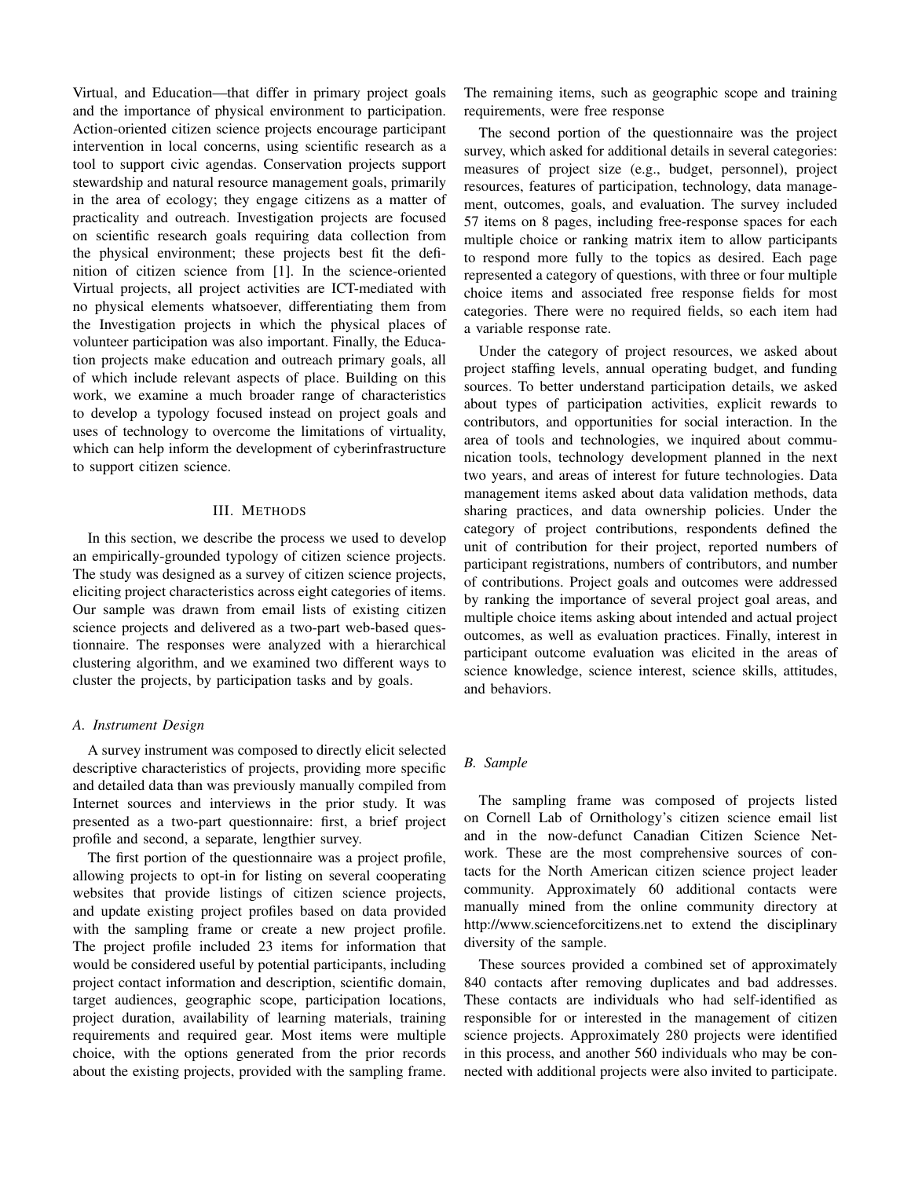Virtual, and Education—that differ in primary project goals and the importance of physical environment to participation. Action-oriented citizen science projects encourage participant intervention in local concerns, using scientific research as a tool to support civic agendas. Conservation projects support stewardship and natural resource management goals, primarily in the area of ecology; they engage citizens as a matter of practicality and outreach. Investigation projects are focused on scientific research goals requiring data collection from the physical environment; these projects best fit the definition of citizen science from [1]. In the science-oriented Virtual projects, all project activities are ICT-mediated with no physical elements whatsoever, differentiating them from the Investigation projects in which the physical places of volunteer participation was also important. Finally, the Education projects make education and outreach primary goals, all of which include relevant aspects of place. Building on this work, we examine a much broader range of characteristics to develop a typology focused instead on project goals and uses of technology to overcome the limitations of virtuality, which can help inform the development of cyberinfrastructure to support citizen science.

#### III. METHODS

In this section, we describe the process we used to develop an empirically-grounded typology of citizen science projects. The study was designed as a survey of citizen science projects, eliciting project characteristics across eight categories of items. Our sample was drawn from email lists of existing citizen science projects and delivered as a two-part web-based questionnaire. The responses were analyzed with a hierarchical clustering algorithm, and we examined two different ways to cluster the projects, by participation tasks and by goals.

#### *A. Instrument Design*

A survey instrument was composed to directly elicit selected descriptive characteristics of projects, providing more specific and detailed data than was previously manually compiled from Internet sources and interviews in the prior study. It was presented as a two-part questionnaire: first, a brief project profile and second, a separate, lengthier survey.

The first portion of the questionnaire was a project profile, allowing projects to opt-in for listing on several cooperating websites that provide listings of citizen science projects, and update existing project profiles based on data provided with the sampling frame or create a new project profile. The project profile included 23 items for information that would be considered useful by potential participants, including project contact information and description, scientific domain, target audiences, geographic scope, participation locations, project duration, availability of learning materials, training requirements and required gear. Most items were multiple choice, with the options generated from the prior records about the existing projects, provided with the sampling frame. The remaining items, such as geographic scope and training requirements, were free response

The second portion of the questionnaire was the project survey, which asked for additional details in several categories: measures of project size (e.g., budget, personnel), project resources, features of participation, technology, data management, outcomes, goals, and evaluation. The survey included 57 items on 8 pages, including free-response spaces for each multiple choice or ranking matrix item to allow participants to respond more fully to the topics as desired. Each page represented a category of questions, with three or four multiple choice items and associated free response fields for most categories. There were no required fields, so each item had a variable response rate.

Under the category of project resources, we asked about project staffing levels, annual operating budget, and funding sources. To better understand participation details, we asked about types of participation activities, explicit rewards to contributors, and opportunities for social interaction. In the area of tools and technologies, we inquired about communication tools, technology development planned in the next two years, and areas of interest for future technologies. Data management items asked about data validation methods, data sharing practices, and data ownership policies. Under the category of project contributions, respondents defined the unit of contribution for their project, reported numbers of participant registrations, numbers of contributors, and number of contributions. Project goals and outcomes were addressed by ranking the importance of several project goal areas, and multiple choice items asking about intended and actual project outcomes, as well as evaluation practices. Finally, interest in participant outcome evaluation was elicited in the areas of science knowledge, science interest, science skills, attitudes, and behaviors.

# *B. Sample*

The sampling frame was composed of projects listed on Cornell Lab of Ornithology's citizen science email list and in the now-defunct Canadian Citizen Science Network. These are the most comprehensive sources of contacts for the North American citizen science project leader community. Approximately 60 additional contacts were manually mined from the online community directory at http://www.scienceforcitizens.net to extend the disciplinary diversity of the sample.

These sources provided a combined set of approximately 840 contacts after removing duplicates and bad addresses. These contacts are individuals who had self-identified as responsible for or interested in the management of citizen science projects. Approximately 280 projects were identified in this process, and another 560 individuals who may be connected with additional projects were also invited to participate.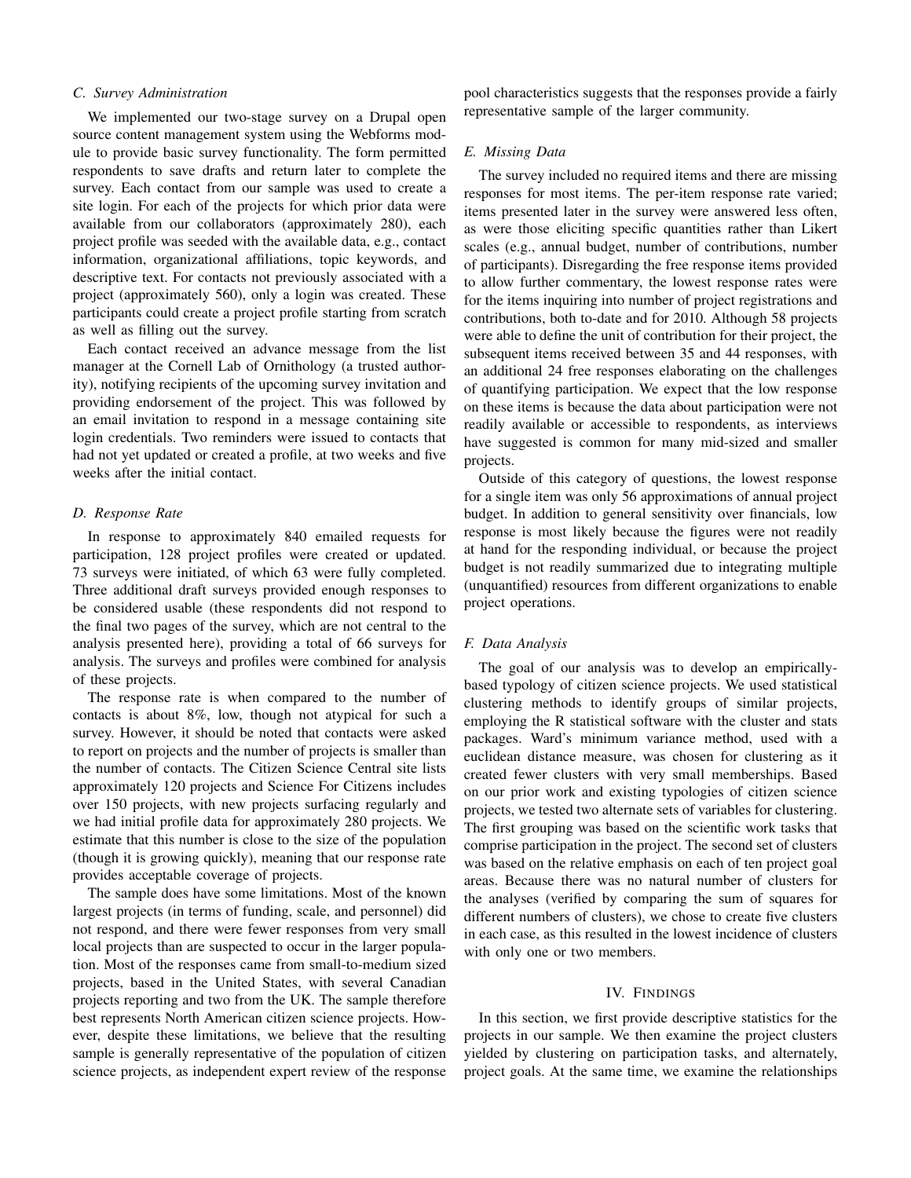#### *C. Survey Administration*

We implemented our two-stage survey on a Drupal open source content management system using the Webforms module to provide basic survey functionality. The form permitted respondents to save drafts and return later to complete the survey. Each contact from our sample was used to create a site login. For each of the projects for which prior data were available from our collaborators (approximately 280), each project profile was seeded with the available data, e.g., contact information, organizational affiliations, topic keywords, and descriptive text. For contacts not previously associated with a project (approximately 560), only a login was created. These participants could create a project profile starting from scratch as well as filling out the survey.

Each contact received an advance message from the list manager at the Cornell Lab of Ornithology (a trusted authority), notifying recipients of the upcoming survey invitation and providing endorsement of the project. This was followed by an email invitation to respond in a message containing site login credentials. Two reminders were issued to contacts that had not yet updated or created a profile, at two weeks and five weeks after the initial contact.

## *D. Response Rate*

In response to approximately 840 emailed requests for participation, 128 project profiles were created or updated. 73 surveys were initiated, of which 63 were fully completed. Three additional draft surveys provided enough responses to be considered usable (these respondents did not respond to the final two pages of the survey, which are not central to the analysis presented here), providing a total of 66 surveys for analysis. The surveys and profiles were combined for analysis of these projects.

The response rate is when compared to the number of contacts is about 8%, low, though not atypical for such a survey. However, it should be noted that contacts were asked to report on projects and the number of projects is smaller than the number of contacts. The Citizen Science Central site lists approximately 120 projects and Science For Citizens includes over 150 projects, with new projects surfacing regularly and we had initial profile data for approximately 280 projects. We estimate that this number is close to the size of the population (though it is growing quickly), meaning that our response rate provides acceptable coverage of projects.

The sample does have some limitations. Most of the known largest projects (in terms of funding, scale, and personnel) did not respond, and there were fewer responses from very small local projects than are suspected to occur in the larger population. Most of the responses came from small-to-medium sized projects, based in the United States, with several Canadian projects reporting and two from the UK. The sample therefore best represents North American citizen science projects. However, despite these limitations, we believe that the resulting sample is generally representative of the population of citizen science projects, as independent expert review of the response

pool characteristics suggests that the responses provide a fairly representative sample of the larger community.

#### *E. Missing Data*

The survey included no required items and there are missing responses for most items. The per-item response rate varied; items presented later in the survey were answered less often, as were those eliciting specific quantities rather than Likert scales (e.g., annual budget, number of contributions, number of participants). Disregarding the free response items provided to allow further commentary, the lowest response rates were for the items inquiring into number of project registrations and contributions, both to-date and for 2010. Although 58 projects were able to define the unit of contribution for their project, the subsequent items received between 35 and 44 responses, with an additional 24 free responses elaborating on the challenges of quantifying participation. We expect that the low response on these items is because the data about participation were not readily available or accessible to respondents, as interviews have suggested is common for many mid-sized and smaller projects.

Outside of this category of questions, the lowest response for a single item was only 56 approximations of annual project budget. In addition to general sensitivity over financials, low response is most likely because the figures were not readily at hand for the responding individual, or because the project budget is not readily summarized due to integrating multiple (unquantified) resources from different organizations to enable project operations.

#### *F. Data Analysis*

The goal of our analysis was to develop an empiricallybased typology of citizen science projects. We used statistical clustering methods to identify groups of similar projects, employing the R statistical software with the cluster and stats packages. Ward's minimum variance method, used with a euclidean distance measure, was chosen for clustering as it created fewer clusters with very small memberships. Based on our prior work and existing typologies of citizen science projects, we tested two alternate sets of variables for clustering. The first grouping was based on the scientific work tasks that comprise participation in the project. The second set of clusters was based on the relative emphasis on each of ten project goal areas. Because there was no natural number of clusters for the analyses (verified by comparing the sum of squares for different numbers of clusters), we chose to create five clusters in each case, as this resulted in the lowest incidence of clusters with only one or two members.

#### IV. FINDINGS

In this section, we first provide descriptive statistics for the projects in our sample. We then examine the project clusters yielded by clustering on participation tasks, and alternately, project goals. At the same time, we examine the relationships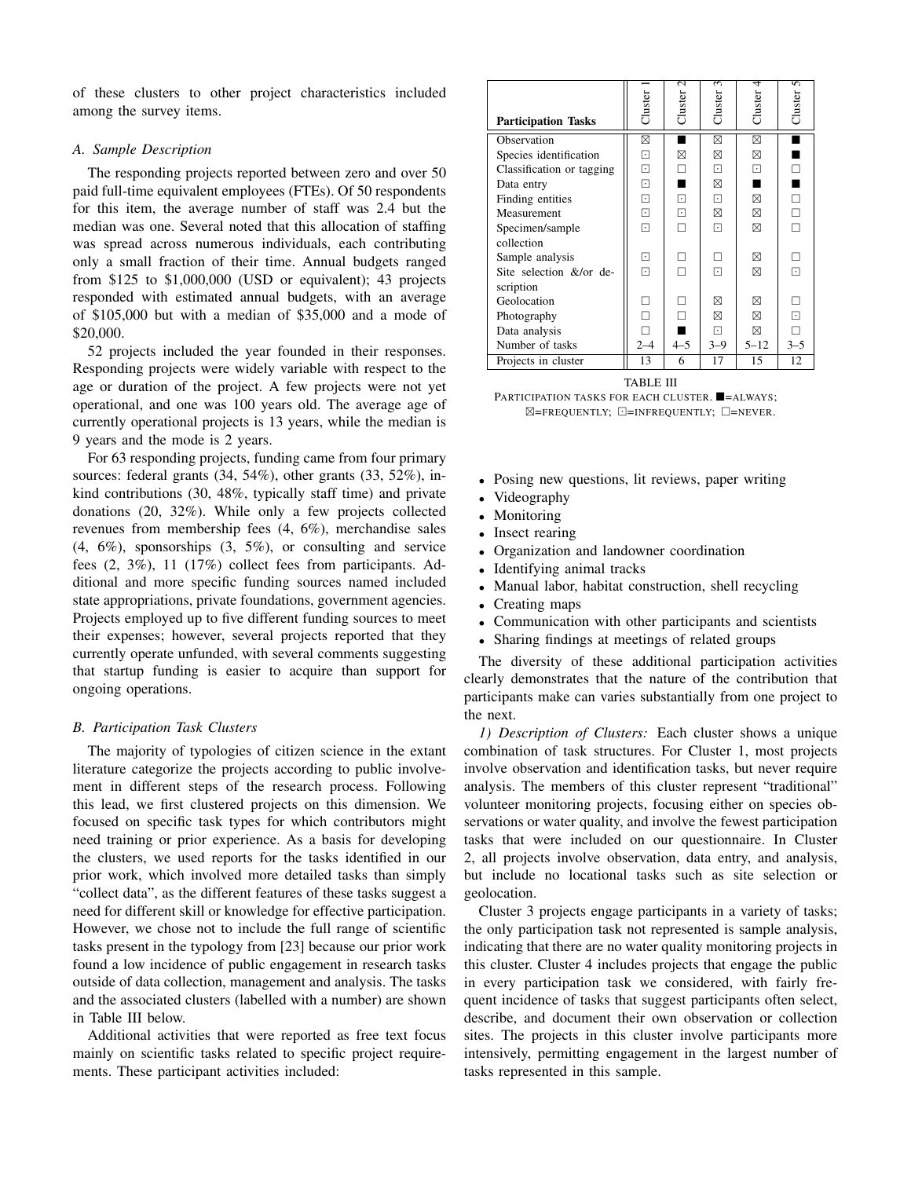of these clusters to other project characteristics included among the survey items.

## *A. Sample Description*

The responding projects reported between zero and over 50 paid full-time equivalent employees (FTEs). Of 50 respondents for this item, the average number of staff was 2.4 but the median was one. Several noted that this allocation of staffing was spread across numerous individuals, each contributing only a small fraction of their time. Annual budgets ranged from \$125 to \$1,000,000 (USD or equivalent); 43 projects responded with estimated annual budgets, with an average of \$105,000 but with a median of \$35,000 and a mode of \$20,000.

52 projects included the year founded in their responses. Responding projects were widely variable with respect to the age or duration of the project. A few projects were not yet operational, and one was 100 years old. The average age of currently operational projects is 13 years, while the median is 9 years and the mode is 2 years.

For 63 responding projects, funding came from four primary sources: federal grants (34, 54%), other grants (33, 52%), inkind contributions (30, 48%, typically staff time) and private donations (20, 32%). While only a few projects collected revenues from membership fees (4, 6%), merchandise sales (4, 6%), sponsorships (3, 5%), or consulting and service fees (2, 3%), 11 (17%) collect fees from participants. Additional and more specific funding sources named included state appropriations, private foundations, government agencies. Projects employed up to five different funding sources to meet their expenses; however, several projects reported that they currently operate unfunded, with several comments suggesting that startup funding is easier to acquire than support for ongoing operations.

# *B. Participation Task Clusters*

The majority of typologies of citizen science in the extant literature categorize the projects according to public involvement in different steps of the research process. Following this lead, we first clustered projects on this dimension. We focused on specific task types for which contributors might need training or prior experience. As a basis for developing the clusters, we used reports for the tasks identified in our prior work, which involved more detailed tasks than simply "collect data", as the different features of these tasks suggest a need for different skill or knowledge for effective participation. However, we chose not to include the full range of scientific tasks present in the typology from [23] because our prior work found a low incidence of public engagement in research tasks outside of data collection, management and analysis. The tasks and the associated clusters (labelled with a number) are shown in Table III below.

Additional activities that were reported as free text focus mainly on scientific tasks related to specific project requirements. These participant activities included:

| <b>Participation Tasks</b> | Cluster                  | 2<br>Cluster            | $\mathfrak{m}$<br>Cluster | 4<br>Cluster            | 5<br>Cluster             |
|----------------------------|--------------------------|-------------------------|---------------------------|-------------------------|--------------------------|
| Observation                | ⊠                        |                         | ⊠                         | ⊠                       |                          |
| Species identification     | $\overline{\phantom{a}}$ | ⊠                       | ⊠                         | ⊠                       |                          |
| Classification or tagging  | $\overline{\phantom{a}}$ |                         | ⊡                         | $\overline{\mathbf{F}}$ |                          |
| Data entry                 | $\overline{\phantom{a}}$ |                         | ⊠                         |                         |                          |
| Finding entities           | $\overline{\mathbf{F}}$  | $\lceil \cdot \rceil$   | ⊡                         | ⊠                       |                          |
| Measurement                | ⊡                        | $\overline{\mathbf{E}}$ | ⊠                         | ⊠                       |                          |
| Specimen/sample            | $\Box$                   |                         | ⊡                         | ⊠                       |                          |
| collection                 |                          |                         |                           |                         |                          |
| Sample analysis            | ⊡                        |                         |                           | ⊠                       |                          |
| Site selection &/or de-    | $\Box$                   |                         | ⊡                         | ⊠                       | ⊡                        |
| scription                  |                          |                         |                           |                         |                          |
| Geolocation                |                          |                         | ⊠                         | ⊠                       |                          |
| Photography                |                          |                         | ⊠                         | ⊠                       | $\overline{\phantom{a}}$ |
| Data analysis              |                          |                         | ⊡                         | ⊠                       |                          |
| Number of tasks            | $2 - 4$                  | $4 - 5$                 | $3 - 9$                   | $5 - 12$                | $3 - 5$                  |
| Projects in cluster        | 13                       | 6                       | 17                        | 15                      | 12                       |

TABLE III

PARTICIPATION TASKS FOR EACH CLUSTER.  $\blacksquare$ =ALWAYS; ⊠=FREQUENTLY; ⊡=INFREQUENTLY; □=NEVER.

- Posing new questions, lit reviews, paper writing
- Videography
- Monitoring
- Insect rearing
- Organization and landowner coordination
- Identifying animal tracks
- Manual labor, habitat construction, shell recycling
- Creating maps
- Communication with other participants and scientists
- Sharing findings at meetings of related groups

The diversity of these additional participation activities clearly demonstrates that the nature of the contribution that participants make can varies substantially from one project to the next.

*1) Description of Clusters:* Each cluster shows a unique combination of task structures. For Cluster 1, most projects involve observation and identification tasks, but never require analysis. The members of this cluster represent "traditional" volunteer monitoring projects, focusing either on species observations or water quality, and involve the fewest participation tasks that were included on our questionnaire. In Cluster 2, all projects involve observation, data entry, and analysis, but include no locational tasks such as site selection or geolocation.

Cluster 3 projects engage participants in a variety of tasks; the only participation task not represented is sample analysis, indicating that there are no water quality monitoring projects in this cluster. Cluster 4 includes projects that engage the public in every participation task we considered, with fairly frequent incidence of tasks that suggest participants often select, describe, and document their own observation or collection sites. The projects in this cluster involve participants more intensively, permitting engagement in the largest number of tasks represented in this sample.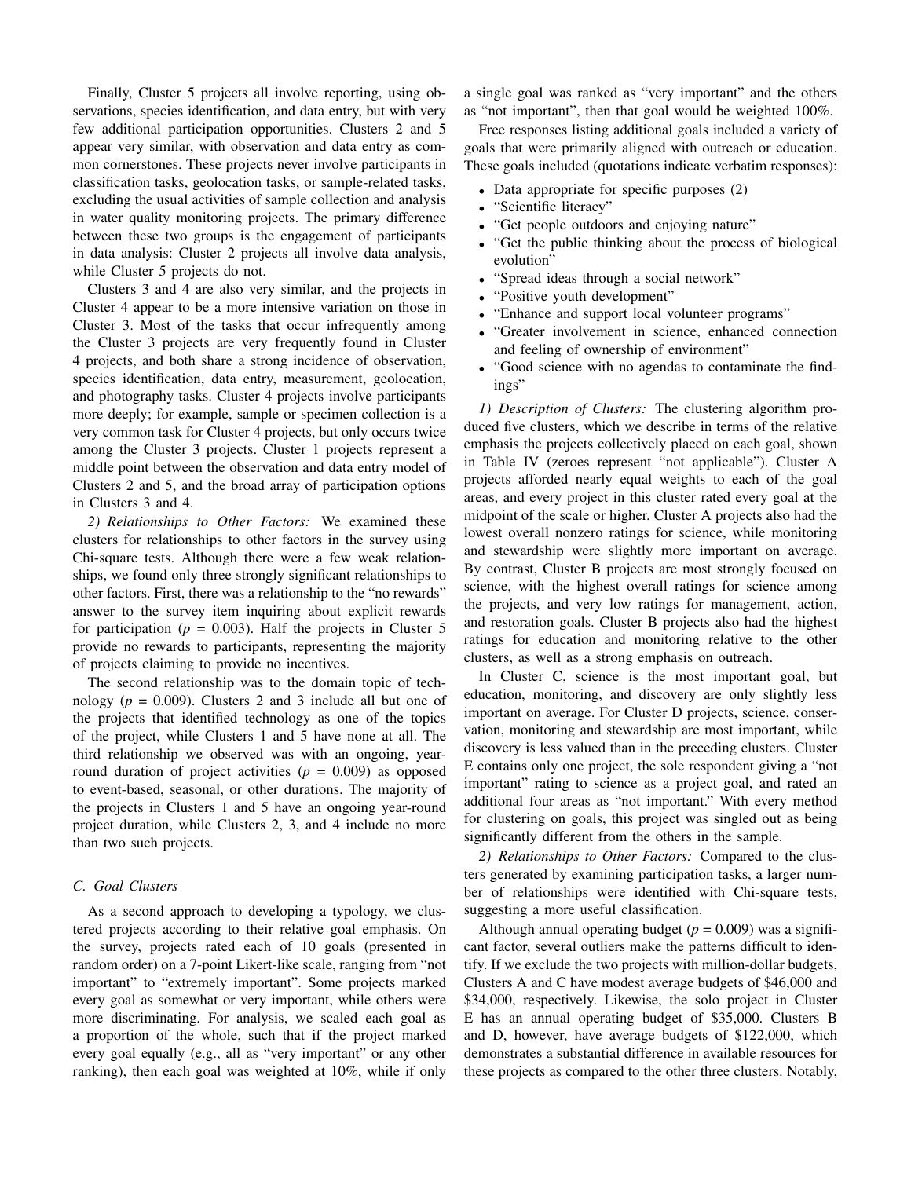Finally, Cluster 5 projects all involve reporting, using observations, species identification, and data entry, but with very few additional participation opportunities. Clusters 2 and 5 appear very similar, with observation and data entry as common cornerstones. These projects never involve participants in classification tasks, geolocation tasks, or sample-related tasks, excluding the usual activities of sample collection and analysis in water quality monitoring projects. The primary difference between these two groups is the engagement of participants in data analysis: Cluster 2 projects all involve data analysis, while Cluster 5 projects do not.

Clusters 3 and 4 are also very similar, and the projects in Cluster 4 appear to be a more intensive variation on those in Cluster 3. Most of the tasks that occur infrequently among the Cluster 3 projects are very frequently found in Cluster 4 projects, and both share a strong incidence of observation, species identification, data entry, measurement, geolocation, and photography tasks. Cluster 4 projects involve participants more deeply; for example, sample or specimen collection is a very common task for Cluster 4 projects, but only occurs twice among the Cluster 3 projects. Cluster 1 projects represent a middle point between the observation and data entry model of Clusters 2 and 5, and the broad array of participation options in Clusters 3 and 4.

*2) Relationships to Other Factors:* We examined these clusters for relationships to other factors in the survey using Chi-square tests. Although there were a few weak relationships, we found only three strongly significant relationships to other factors. First, there was a relationship to the "no rewards" answer to the survey item inquiring about explicit rewards for participation ( $p = 0.003$ ). Half the projects in Cluster 5 provide no rewards to participants, representing the majority of projects claiming to provide no incentives.

The second relationship was to the domain topic of technology ( $p = 0.009$ ). Clusters 2 and 3 include all but one of the projects that identified technology as one of the topics of the project, while Clusters 1 and 5 have none at all. The third relationship we observed was with an ongoing, yearround duration of project activities  $(p = 0.009)$  as opposed to event-based, seasonal, or other durations. The majority of the projects in Clusters 1 and 5 have an ongoing year-round project duration, while Clusters 2, 3, and 4 include no more than two such projects.

## *C. Goal Clusters*

As a second approach to developing a typology, we clustered projects according to their relative goal emphasis. On the survey, projects rated each of 10 goals (presented in random order) on a 7-point Likert-like scale, ranging from "not important" to "extremely important". Some projects marked every goal as somewhat or very important, while others were more discriminating. For analysis, we scaled each goal as a proportion of the whole, such that if the project marked every goal equally (e.g., all as "very important" or any other ranking), then each goal was weighted at 10%, while if only a single goal was ranked as "very important" and the others as "not important", then that goal would be weighted 100%.

Free responses listing additional goals included a variety of goals that were primarily aligned with outreach or education. These goals included (quotations indicate verbatim responses):

- Data appropriate for specific purposes  $(2)$
- "Scientific literacy"
- "Get people outdoors and enjoying nature"
- "Get the public thinking about the process of biological evolution"
- "Spread ideas through a social network"
- "Positive youth development"
- "Enhance and support local volunteer programs"
- "Greater involvement in science, enhanced connection and feeling of ownership of environment"
- "Good science with no agendas to contaminate the findings"

*1) Description of Clusters:* The clustering algorithm produced five clusters, which we describe in terms of the relative emphasis the projects collectively placed on each goal, shown in Table IV (zeroes represent "not applicable"). Cluster A projects afforded nearly equal weights to each of the goal areas, and every project in this cluster rated every goal at the midpoint of the scale or higher. Cluster A projects also had the lowest overall nonzero ratings for science, while monitoring and stewardship were slightly more important on average. By contrast, Cluster B projects are most strongly focused on science, with the highest overall ratings for science among the projects, and very low ratings for management, action, and restoration goals. Cluster B projects also had the highest ratings for education and monitoring relative to the other clusters, as well as a strong emphasis on outreach.

In Cluster C, science is the most important goal, but education, monitoring, and discovery are only slightly less important on average. For Cluster D projects, science, conservation, monitoring and stewardship are most important, while discovery is less valued than in the preceding clusters. Cluster E contains only one project, the sole respondent giving a "not important" rating to science as a project goal, and rated an additional four areas as "not important." With every method for clustering on goals, this project was singled out as being significantly different from the others in the sample.

*2) Relationships to Other Factors:* Compared to the clusters generated by examining participation tasks, a larger number of relationships were identified with Chi-square tests, suggesting a more useful classification.

Although annual operating budget  $(p = 0.009)$  was a significant factor, several outliers make the patterns difficult to identify. If we exclude the two projects with million-dollar budgets, Clusters A and C have modest average budgets of \$46,000 and \$34,000, respectively. Likewise, the solo project in Cluster E has an annual operating budget of \$35,000. Clusters B and D, however, have average budgets of \$122,000, which demonstrates a substantial difference in available resources for these projects as compared to the other three clusters. Notably,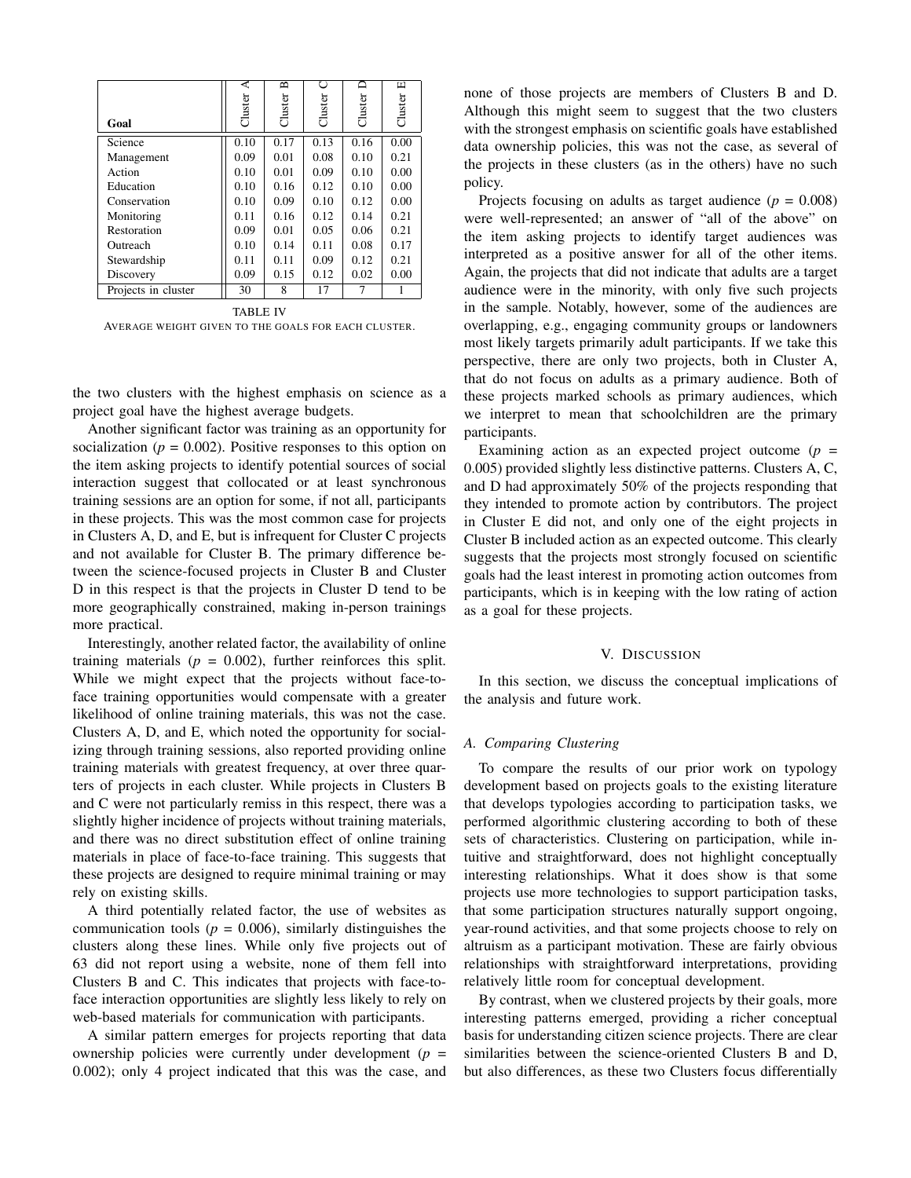|                     | ⋖<br>Cluster | ≃<br>Cluster | O<br>Cluster | ≏<br>Cluster | щ<br>Cluster |
|---------------------|--------------|--------------|--------------|--------------|--------------|
| Goal                |              |              |              |              |              |
| Science             | 0.10         | 0.17         | 0.13         | 0.16         | 0.00         |
| Management          | 0.09         | 0.01         | 0.08         | 0.10         | 0.21         |
| Action              | 0.10         | 0.01         | 0.09         | 0.10         | 0.00         |
| Education           | 0.10         | 0.16         | 0.12         | 0.10         | 0.00         |
| Conservation        | 0.10         | 0.09         | 0.10         | 0.12         | 0.00         |
| Monitoring          | 0.11         | 0.16         | 0.12         | 0.14         | 0.21         |
| Restoration         | 0.09         | 0.01         | 0.05         | 0.06         | 0.21         |
| Outreach            | 0.10         | 0.14         | 0.11         | 0.08         | 0.17         |
| Stewardship         | 0.11         | 0.11         | 0.09         | 0.12         | 0.21         |
| Discovery           | 0.09         | 0.15         | 0.12         | 0.02         | 0.00         |
| Projects in cluster | 30           | 8            | 17           |              |              |

|--|--|

AVERAGE WEIGHT GIVEN TO THE GOALS FOR EACH CLUSTER.

the two clusters with the highest emphasis on science as a project goal have the highest average budgets.

Another significant factor was training as an opportunity for socialization ( $p = 0.002$ ). Positive responses to this option on the item asking projects to identify potential sources of social interaction suggest that collocated or at least synchronous training sessions are an option for some, if not all, participants in these projects. This was the most common case for projects in Clusters A, D, and E, but is infrequent for Cluster C projects and not available for Cluster B. The primary difference between the science-focused projects in Cluster B and Cluster D in this respect is that the projects in Cluster D tend to be more geographically constrained, making in-person trainings more practical.

Interestingly, another related factor, the availability of online training materials  $(p = 0.002)$ , further reinforces this split. While we might expect that the projects without face-toface training opportunities would compensate with a greater likelihood of online training materials, this was not the case. Clusters A, D, and E, which noted the opportunity for socializing through training sessions, also reported providing online training materials with greatest frequency, at over three quarters of projects in each cluster. While projects in Clusters B and C were not particularly remiss in this respect, there was a slightly higher incidence of projects without training materials, and there was no direct substitution effect of online training materials in place of face-to-face training. This suggests that these projects are designed to require minimal training or may rely on existing skills.

A third potentially related factor, the use of websites as communication tools ( $p = 0.006$ ), similarly distinguishes the clusters along these lines. While only five projects out of 63 did not report using a website, none of them fell into Clusters B and C. This indicates that projects with face-toface interaction opportunities are slightly less likely to rely on web-based materials for communication with participants.

A similar pattern emerges for projects reporting that data ownership policies were currently under development  $(p =$ 0.002); only 4 project indicated that this was the case, and none of those projects are members of Clusters B and D. Although this might seem to suggest that the two clusters with the strongest emphasis on scientific goals have established data ownership policies, this was not the case, as several of the projects in these clusters (as in the others) have no such policy.

Projects focusing on adults as target audience  $(p = 0.008)$ were well-represented; an answer of "all of the above" on the item asking projects to identify target audiences was interpreted as a positive answer for all of the other items. Again, the projects that did not indicate that adults are a target audience were in the minority, with only five such projects in the sample. Notably, however, some of the audiences are overlapping, e.g., engaging community groups or landowners most likely targets primarily adult participants. If we take this perspective, there are only two projects, both in Cluster A, that do not focus on adults as a primary audience. Both of these projects marked schools as primary audiences, which we interpret to mean that schoolchildren are the primary participants.

Examining action as an expected project outcome  $(p =$ 0.005) provided slightly less distinctive patterns. Clusters A, C, and D had approximately 50% of the projects responding that they intended to promote action by contributors. The project in Cluster E did not, and only one of the eight projects in Cluster B included action as an expected outcome. This clearly suggests that the projects most strongly focused on scientific goals had the least interest in promoting action outcomes from participants, which is in keeping with the low rating of action as a goal for these projects.

## V. DISCUSSION

In this section, we discuss the conceptual implications of the analysis and future work.

# *A. Comparing Clustering*

To compare the results of our prior work on typology development based on projects goals to the existing literature that develops typologies according to participation tasks, we performed algorithmic clustering according to both of these sets of characteristics. Clustering on participation, while intuitive and straightforward, does not highlight conceptually interesting relationships. What it does show is that some projects use more technologies to support participation tasks, that some participation structures naturally support ongoing, year-round activities, and that some projects choose to rely on altruism as a participant motivation. These are fairly obvious relationships with straightforward interpretations, providing relatively little room for conceptual development.

By contrast, when we clustered projects by their goals, more interesting patterns emerged, providing a richer conceptual basis for understanding citizen science projects. There are clear similarities between the science-oriented Clusters B and D, but also differences, as these two Clusters focus differentially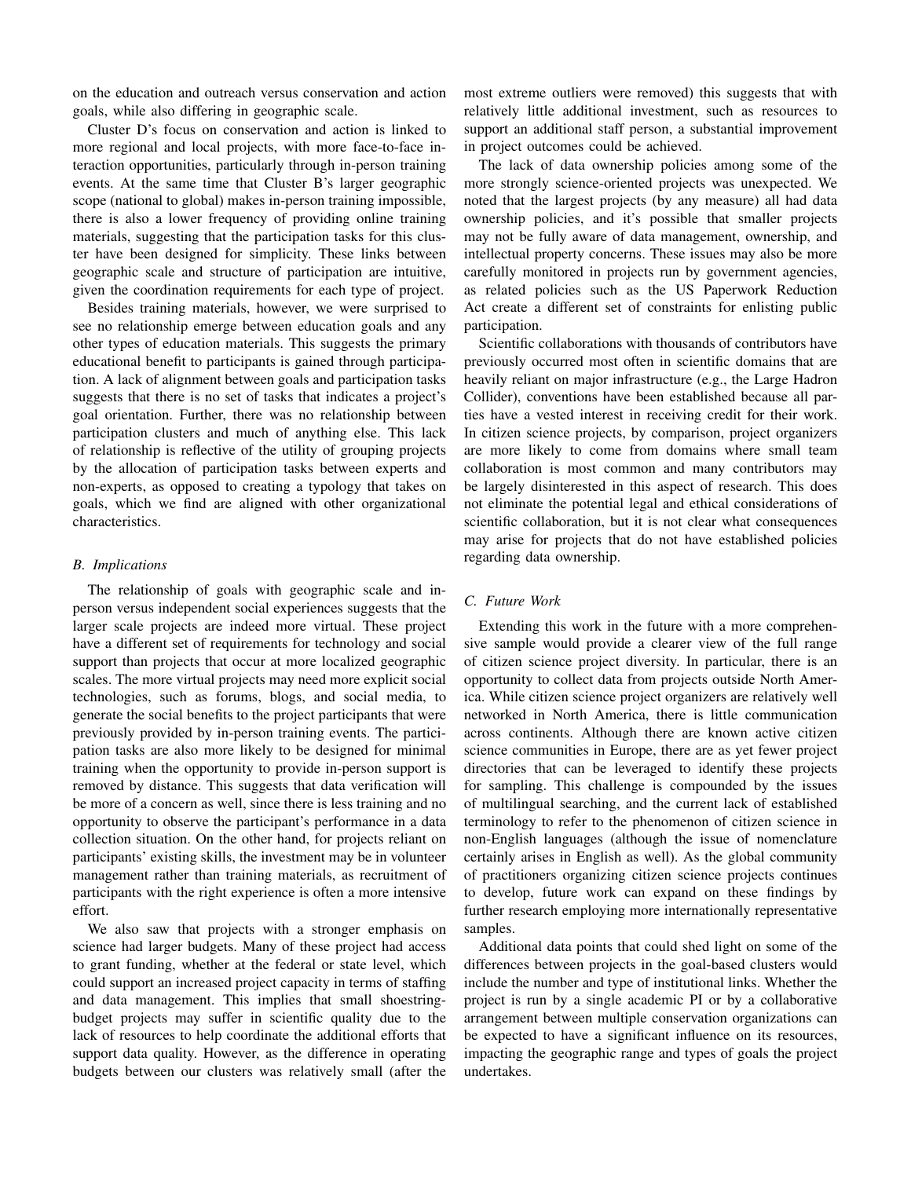on the education and outreach versus conservation and action goals, while also differing in geographic scale.

Cluster D's focus on conservation and action is linked to more regional and local projects, with more face-to-face interaction opportunities, particularly through in-person training events. At the same time that Cluster B's larger geographic scope (national to global) makes in-person training impossible, there is also a lower frequency of providing online training materials, suggesting that the participation tasks for this cluster have been designed for simplicity. These links between geographic scale and structure of participation are intuitive, given the coordination requirements for each type of project.

Besides training materials, however, we were surprised to see no relationship emerge between education goals and any other types of education materials. This suggests the primary educational benefit to participants is gained through participation. A lack of alignment between goals and participation tasks suggests that there is no set of tasks that indicates a project's goal orientation. Further, there was no relationship between participation clusters and much of anything else. This lack of relationship is reflective of the utility of grouping projects by the allocation of participation tasks between experts and non-experts, as opposed to creating a typology that takes on goals, which we find are aligned with other organizational characteristics.

## *B. Implications*

The relationship of goals with geographic scale and inperson versus independent social experiences suggests that the larger scale projects are indeed more virtual. These project have a different set of requirements for technology and social support than projects that occur at more localized geographic scales. The more virtual projects may need more explicit social technologies, such as forums, blogs, and social media, to generate the social benefits to the project participants that were previously provided by in-person training events. The participation tasks are also more likely to be designed for minimal training when the opportunity to provide in-person support is removed by distance. This suggests that data verification will be more of a concern as well, since there is less training and no opportunity to observe the participant's performance in a data collection situation. On the other hand, for projects reliant on participants' existing skills, the investment may be in volunteer management rather than training materials, as recruitment of participants with the right experience is often a more intensive effort.

We also saw that projects with a stronger emphasis on science had larger budgets. Many of these project had access to grant funding, whether at the federal or state level, which could support an increased project capacity in terms of staffing and data management. This implies that small shoestringbudget projects may suffer in scientific quality due to the lack of resources to help coordinate the additional efforts that support data quality. However, as the difference in operating budgets between our clusters was relatively small (after the most extreme outliers were removed) this suggests that with relatively little additional investment, such as resources to support an additional staff person, a substantial improvement in project outcomes could be achieved.

The lack of data ownership policies among some of the more strongly science-oriented projects was unexpected. We noted that the largest projects (by any measure) all had data ownership policies, and it's possible that smaller projects may not be fully aware of data management, ownership, and intellectual property concerns. These issues may also be more carefully monitored in projects run by government agencies, as related policies such as the US Paperwork Reduction Act create a different set of constraints for enlisting public participation.

Scientific collaborations with thousands of contributors have previously occurred most often in scientific domains that are heavily reliant on major infrastructure (e.g., the Large Hadron Collider), conventions have been established because all parties have a vested interest in receiving credit for their work. In citizen science projects, by comparison, project organizers are more likely to come from domains where small team collaboration is most common and many contributors may be largely disinterested in this aspect of research. This does not eliminate the potential legal and ethical considerations of scientific collaboration, but it is not clear what consequences may arise for projects that do not have established policies regarding data ownership.

## *C. Future Work*

Extending this work in the future with a more comprehensive sample would provide a clearer view of the full range of citizen science project diversity. In particular, there is an opportunity to collect data from projects outside North America. While citizen science project organizers are relatively well networked in North America, there is little communication across continents. Although there are known active citizen science communities in Europe, there are as yet fewer project directories that can be leveraged to identify these projects for sampling. This challenge is compounded by the issues of multilingual searching, and the current lack of established terminology to refer to the phenomenon of citizen science in non-English languages (although the issue of nomenclature certainly arises in English as well). As the global community of practitioners organizing citizen science projects continues to develop, future work can expand on these findings by further research employing more internationally representative samples.

Additional data points that could shed light on some of the differences between projects in the goal-based clusters would include the number and type of institutional links. Whether the project is run by a single academic PI or by a collaborative arrangement between multiple conservation organizations can be expected to have a significant influence on its resources, impacting the geographic range and types of goals the project undertakes.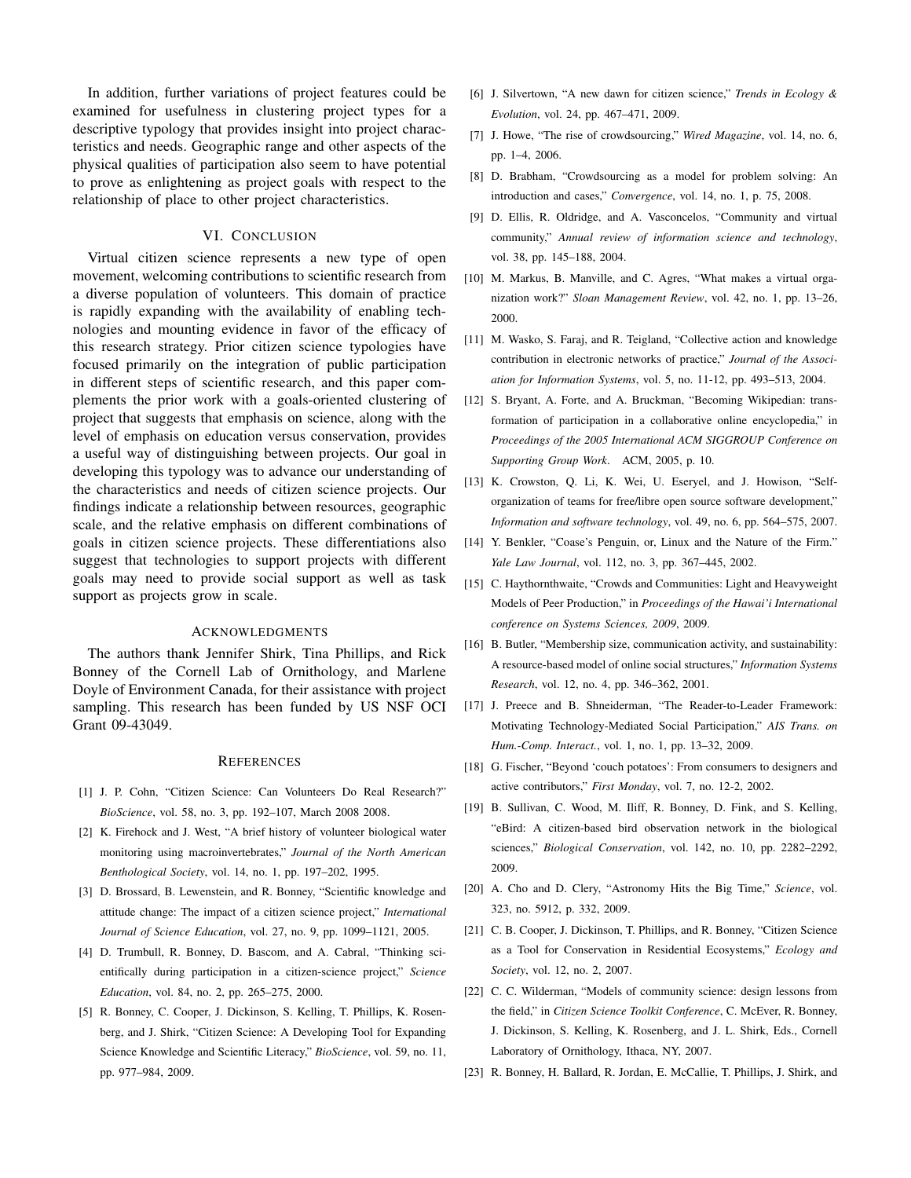In addition, further variations of project features could be examined for usefulness in clustering project types for a descriptive typology that provides insight into project characteristics and needs. Geographic range and other aspects of the physical qualities of participation also seem to have potential to prove as enlightening as project goals with respect to the relationship of place to other project characteristics.

# VI. CONCLUSION

Virtual citizen science represents a new type of open movement, welcoming contributions to scientific research from a diverse population of volunteers. This domain of practice is rapidly expanding with the availability of enabling technologies and mounting evidence in favor of the efficacy of this research strategy. Prior citizen science typologies have focused primarily on the integration of public participation in different steps of scientific research, and this paper complements the prior work with a goals-oriented clustering of project that suggests that emphasis on science, along with the level of emphasis on education versus conservation, provides a useful way of distinguishing between projects. Our goal in developing this typology was to advance our understanding of the characteristics and needs of citizen science projects. Our findings indicate a relationship between resources, geographic scale, and the relative emphasis on different combinations of goals in citizen science projects. These differentiations also suggest that technologies to support projects with different goals may need to provide social support as well as task support as projects grow in scale.

#### ACKNOWLEDGMENTS

The authors thank Jennifer Shirk, Tina Phillips, and Rick Bonney of the Cornell Lab of Ornithology, and Marlene Doyle of Environment Canada, for their assistance with project sampling. This research has been funded by US NSF OCI Grant 09-43049.

#### **REFERENCES**

- [1] J. P. Cohn, "Citizen Science: Can Volunteers Do Real Research?" *BioScience*, vol. 58, no. 3, pp. 192–107, March 2008 2008.
- [2] K. Firehock and J. West, "A brief history of volunteer biological water monitoring using macroinvertebrates," *Journal of the North American Benthological Society*, vol. 14, no. 1, pp. 197–202, 1995.
- [3] D. Brossard, B. Lewenstein, and R. Bonney, "Scientific knowledge and attitude change: The impact of a citizen science project," *International Journal of Science Education*, vol. 27, no. 9, pp. 1099–1121, 2005.
- [4] D. Trumbull, R. Bonney, D. Bascom, and A. Cabral, "Thinking scientifically during participation in a citizen-science project," *Science Education*, vol. 84, no. 2, pp. 265–275, 2000.
- [5] R. Bonney, C. Cooper, J. Dickinson, S. Kelling, T. Phillips, K. Rosenberg, and J. Shirk, "Citizen Science: A Developing Tool for Expanding Science Knowledge and Scientific Literacy," *BioScience*, vol. 59, no. 11, pp. 977–984, 2009.
- [6] J. Silvertown, "A new dawn for citizen science," *Trends in Ecology & Evolution*, vol. 24, pp. 467–471, 2009.
- [7] J. Howe, "The rise of crowdsourcing," *Wired Magazine*, vol. 14, no. 6, pp. 1–4, 2006.
- [8] D. Brabham, "Crowdsourcing as a model for problem solving: An introduction and cases," *Convergence*, vol. 14, no. 1, p. 75, 2008.
- [9] D. Ellis, R. Oldridge, and A. Vasconcelos, "Community and virtual community," *Annual review of information science and technology*, vol. 38, pp. 145–188, 2004.
- [10] M. Markus, B. Manville, and C. Agres, "What makes a virtual organization work?" *Sloan Management Review*, vol. 42, no. 1, pp. 13–26, 2000.
- [11] M. Wasko, S. Faraj, and R. Teigland, "Collective action and knowledge contribution in electronic networks of practice," *Journal of the Association for Information Systems*, vol. 5, no. 11-12, pp. 493–513, 2004.
- [12] S. Bryant, A. Forte, and A. Bruckman, "Becoming Wikipedian: transformation of participation in a collaborative online encyclopedia," in *Proceedings of the 2005 International ACM SIGGROUP Conference on Supporting Group Work*. ACM, 2005, p. 10.
- [13] K. Crowston, Q. Li, K. Wei, U. Eseryel, and J. Howison, "Selforganization of teams for free/libre open source software development," *Information and software technology*, vol. 49, no. 6, pp. 564–575, 2007.
- [14] Y. Benkler, "Coase's Penguin, or, Linux and the Nature of the Firm." *Yale Law Journal*, vol. 112, no. 3, pp. 367–445, 2002.
- [15] C. Haythornthwaite, "Crowds and Communities: Light and Heavyweight Models of Peer Production," in *Proceedings of the Hawai'i International conference on Systems Sciences, 2009*, 2009.
- [16] B. Butler, "Membership size, communication activity, and sustainability: A resource-based model of online social structures," *Information Systems Research*, vol. 12, no. 4, pp. 346–362, 2001.
- [17] J. Preece and B. Shneiderman, "The Reader-to-Leader Framework: Motivating Technology-Mediated Social Participation," *AIS Trans. on Hum.-Comp. Interact.*, vol. 1, no. 1, pp. 13–32, 2009.
- [18] G. Fischer, "Beyond 'couch potatoes': From consumers to designers and active contributors," *First Monday*, vol. 7, no. 12-2, 2002.
- [19] B. Sullivan, C. Wood, M. Iliff, R. Bonney, D. Fink, and S. Kelling, "eBird: A citizen-based bird observation network in the biological sciences," *Biological Conservation*, vol. 142, no. 10, pp. 2282–2292, 2009.
- [20] A. Cho and D. Clery, "Astronomy Hits the Big Time," *Science*, vol. 323, no. 5912, p. 332, 2009.
- [21] C. B. Cooper, J. Dickinson, T. Phillips, and R. Bonney, "Citizen Science as a Tool for Conservation in Residential Ecosystems," *Ecology and Society*, vol. 12, no. 2, 2007.
- [22] C. C. Wilderman, "Models of community science: design lessons from the field," in *Citizen Science Toolkit Conference*, C. McEver, R. Bonney, J. Dickinson, S. Kelling, K. Rosenberg, and J. L. Shirk, Eds., Cornell Laboratory of Ornithology, Ithaca, NY, 2007.
- [23] R. Bonney, H. Ballard, R. Jordan, E. McCallie, T. Phillips, J. Shirk, and